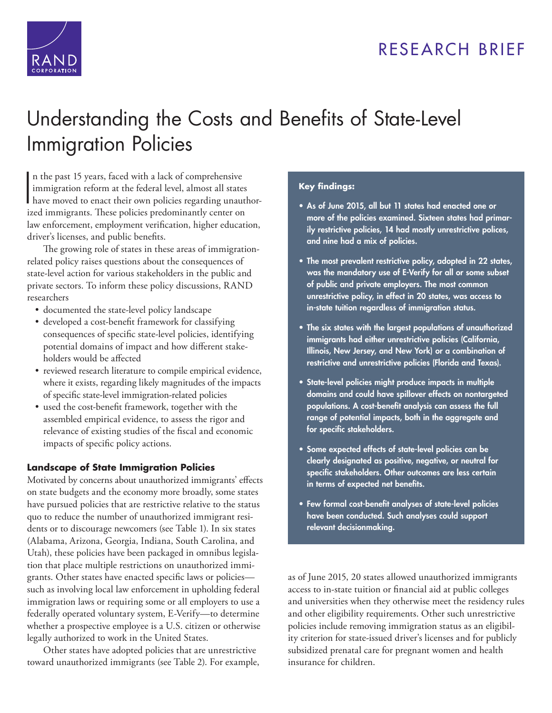# RESEARCH BRIEF



# [Understanding the Costs and Benefits of State-Level](http://www.rand.org/pubs/research_briefs/RB9923.html)  Immigration Policies

I n the past 15 years, faced with a lack of comprehensive immigration reform at the federal level, almost all states have moved to enact their own policies regarding unauthorized immigrants. These policies predominantly center on law enforcement, employment verification, higher education, driver's licenses, and public benefits.

The growing role of states in these areas of immigrationrelated policy raises questions about the consequences of state-level action for various stakeholders in the public and private sectors. To inform these policy discussions, RAND researchers

- documented the state-level policy landscape
- developed a cost-benefit framework for classifying consequences of specific state-level policies, identifying potential domains of impact and how different stakeholders would be affected
- reviewed research literature to compile empirical evidence, where it exists, regarding likely magnitudes of the impacts of specific state-level immigration-related policies
- used the cost-benefit framework, together with the assembled empirical evidence, to assess the rigor and relevance of existing studies of the fiscal and economic impacts of specific policy actions.

# **Landscape of State Immigration Policies**

Motivated by concerns about unauthorized immigrants' effects on state budgets and the economy more broadly, some states have pursued policies that are restrictive relative to the status quo to reduce the number of unauthorized immigrant residents or to discourage newcomers (see Table 1). In six states (Alabama, Arizona, Georgia, Indiana, South Carolina, and Utah), these policies have been packaged in omnibus legislation that place multiple restrictions on unauthorized immigrants. Other states have enacted specific laws or policies such as involving local law enforcement in upholding federal immigration laws or requiring some or all employers to use a federally operated voluntary system, E-Verify—to determine whether a prospective employee is a U.S. citizen or otherwise legally authorized to work in the United States.

Other states have adopted policies that are unrestrictive toward unauthorized immigrants (see Table 2). For example,

## **Key findings:**

- **As of June 2015, all but 11 states had enacted one or more of the policies examined. Sixteen states had primarily restrictive policies, 14 had mostly unrestrictive polices, and nine had a mix of policies.**
- **The most prevalent restrictive policy, adopted in 22 states, was the mandatory use of E-Verify for all or some subset of public and private employers. The most common unrestrictive policy, in effect in 20 states, was access to in-state tuition regardless of immigration status.**
- **The six states with the largest populations of unauthorized immigrants had either unrestrictive policies (California, Illinois, New Jersey, and New York) or a combination of restrictive and unrestrictive policies (Florida and Texas).**
- **State-level policies might produce impacts in multiple domains and could have spillover effects on nontargeted populations. A cost-benefit analysis can assess the full range of potential impacts, both in the aggregate and for specific stakeholders.**
- **Some expected effects of state-level policies can be clearly designated as positive, negative, or neutral for specific stakeholders. Other outcomes are less certain in terms of expected net benefits.**
- **Few formal cost-benefit analyses of state-level policies have been conducted. Such analyses could support relevant decisionmaking.**

as of June 2015, 20 states allowed unauthorized immigrants access to in-state tuition or financial aid at public colleges and universities when they otherwise meet the residency rules and other eligibility requirements. Other such unrestrictive policies include removing immigration status as an eligibility criterion for state-issued driver's licenses and for publicly subsidized prenatal care for pregnant women and health insurance for children.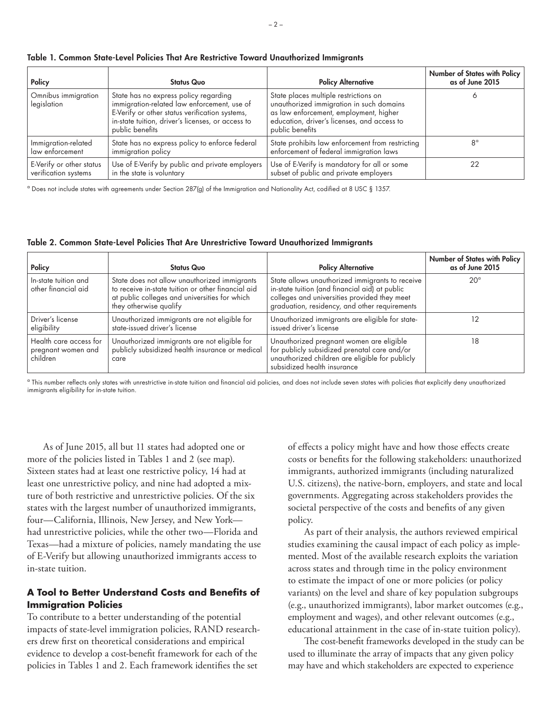| Policy                             | <b>Status Quo</b>                                                                                                                                                                                              | <b>Policy Alternative</b>                                                                                                                                                                     | Number of States with Policy<br>as of June 2015 |
|------------------------------------|----------------------------------------------------------------------------------------------------------------------------------------------------------------------------------------------------------------|-----------------------------------------------------------------------------------------------------------------------------------------------------------------------------------------------|-------------------------------------------------|
| Omnibus immigration<br>legislation | State has no express policy regarding<br>immigration-related law enforcement, use of<br>E-Verify or other status verification systems,<br>in-state tuition, driver's licenses, or access to<br>public benefits | State places multiple restrictions on<br>unauthorized immigration in such domains<br>as law enforcement, employment, higher<br>education, driver's licenses, and access to<br>public benefits |                                                 |
| Immigration-related                | State has no express policy to enforce federal                                                                                                                                                                 | State prohibits law enforcement from restricting                                                                                                                                              | R۹                                              |
| law enforcement                    | immigration policy                                                                                                                                                                                             | enforcement of federal immigration laws                                                                                                                                                       |                                                 |
| E-Verify or other status           | Use of E-Verify by public and private employers                                                                                                                                                                | Use of E-Verify is mandatory for all or some                                                                                                                                                  |                                                 |
| verification systems               | in the state is voluntary                                                                                                                                                                                      | subset of public and private employers                                                                                                                                                        |                                                 |

**Table 1. Common State-Level Policies That Are Restrictive Toward Unauthorized Immigrants**

a Does not include states with agreements under Section 287(g) of the Immigration and Nationality Act, codified at 8 USC § 1357.

**Table 2. Common State-Level Policies That Are Unrestrictive Toward Unauthorized Immigrants**

| Policy                                                   | <b>Status Quo</b>                                                                                                                                                             | <b>Policy Alternative</b>                                                                                                                                                                          | Number of States with Policy<br>as of June 2015 |
|----------------------------------------------------------|-------------------------------------------------------------------------------------------------------------------------------------------------------------------------------|----------------------------------------------------------------------------------------------------------------------------------------------------------------------------------------------------|-------------------------------------------------|
| In-state tuition and<br>other financial aid              | State does not allow unauthorized immigrants<br>to receive in-state tuition or other financial aid<br>at public colleges and universities for which<br>they otherwise qualify | State allows unauthorized immigrants to receive<br>in-state tuition (and financial aid) at public<br>colleges and universities provided they meet<br>graduation, residency, and other requirements | $20^{\circ}$                                    |
| Driver's license<br>eligibility                          | Unauthorized immigrants are not eligible for<br>state-issued driver's license                                                                                                 | Unauthorized immigrants are eligible for state-<br>issued driver's license                                                                                                                         |                                                 |
| Health care access for<br>pregnant women and<br>children | Unauthorized immigrants are not eligible for<br>publicly subsidized health insurance or medical<br>care                                                                       | Unauthorized pregnant women are eligible<br>for publicly subsidized prenatal care and/or<br>unauthorized children are eligible for publicly<br>subsidized health insurance                         | 18                                              |

<sup>a</sup> This number reflects only states with unrestrictive in-state tuition and financial aid policies, and does not include seven states with policies that explicitly deny unauthorized immigrants eligibility for in-state tuition.

As of June 2015, all but 11 states had adopted one or more of the policies listed in Tables 1 and 2 (see map). Sixteen states had at least one restrictive policy, 14 had at least one unrestrictive policy, and nine had adopted a mixture of both restrictive and unrestrictive policies. Of the six states with the largest number of unauthorized immigrants, four—California, Illinois, New Jersey, and New York had unrestrictive policies, while the other two—Florida and Texas—had a mixture of policies, namely mandating the use of E-Verify but allowing unauthorized immigrants access to in-state tuition.

## **A Tool to Better Understand Costs and Benefits of Immigration Policies**

To contribute to a better understanding of the potential impacts of state-level immigration policies, RAND researchers drew first on theoretical considerations and empirical evidence to develop a cost-benefit framework for each of the policies in Tables 1 and 2. Each framework identifies the set

of effects a policy might have and how those effects create costs or benefits for the following stakeholders: unauthorized immigrants, authorized immigrants (including naturalized U.S. citizens), the native-born, employers, and state and local governments. Aggregating across stakeholders provides the societal perspective of the costs and benefits of any given policy.

As part of their analysis, the authors reviewed empirical studies examining the causal impact of each policy as implemented. Most of the available research exploits the variation across states and through time in the policy environment to estimate the impact of one or more policies (or policy variants) on the level and share of key population subgroups (e.g., unauthorized immigrants), labor market outcomes (e.g., employment and wages), and other relevant outcomes (e.g., educational attainment in the case of in-state tuition policy).

The cost-benefit frameworks developed in the study can be used to illuminate the array of impacts that any given policy may have and which stakeholders are expected to experience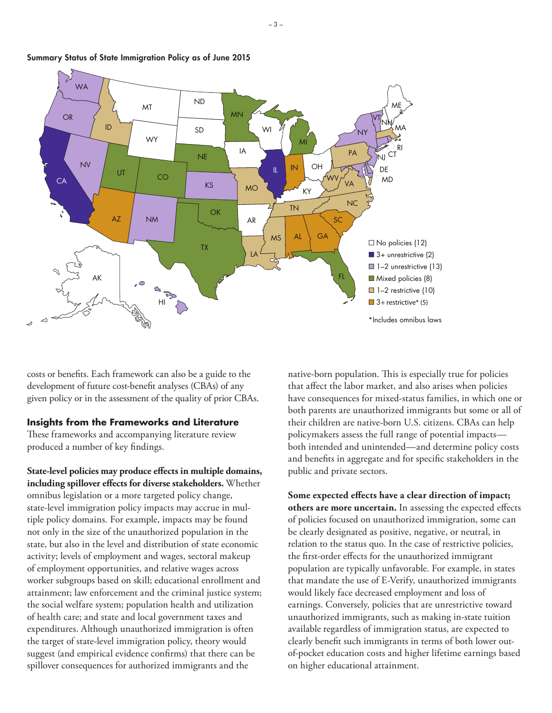

**Summary Status of State Immigration Policy as of June 2015**

costs or benefits. Each framework can also be a guide to the development of future cost-benefit analyses (CBAs) of any given policy or in the assessment of the quality of prior CBAs.

#### **Insights from the Frameworks and Literature**

These frameworks and accompanying literature review produced a number of key findings.

**State-level policies may produce effects in multiple domains, including spillover effects for diverse stakeholders.** Whether omnibus legislation or a more targeted policy change, state-level immigration policy impacts may accrue in multiple policy domains. For example, impacts may be found not only in the size of the unauthorized population in the state, but also in the level and distribution of state economic activity; levels of employment and wages, sectoral makeup of employment opportunities, and relative wages across worker subgroups based on skill; educational enrollment and attainment; law enforcement and the criminal justice system; the social welfare system; population health and utilization of health care; and state and local government taxes and expenditures. Although unauthorized immigration is often the target of state-level immigration policy, theory would suggest (and empirical evidence confirms) that there can be spillover consequences for authorized immigrants and the

native-born population. This is especially true for policies that affect the labor market, and also arises when policies have consequences for mixed-status families, in which one or both parents are unauthorized immigrants but some or all of their children are native-born U.S. citizens. CBAs can help policymakers assess the full range of potential impacts both intended and unintended—and determine policy costs and benefits in aggregate and for specific stakeholders in the public and private sectors.

**Some expected effects have a clear direction of impact; others are more uncertain.** In assessing the expected effects of policies focused on unauthorized immigration, some can be clearly designated as positive, negative, or neutral, in relation to the status quo. In the case of restrictive policies, the first-order effects for the unauthorized immigrant population are typically unfavorable. For example, in states that mandate the use of E-Verify, unauthorized immigrants would likely face decreased employment and loss of earnings. Conversely, policies that are unrestrictive toward unauthorized immigrants, such as making in-state tuition available regardless of immigration status, are expected to clearly benefit such immigrants in terms of both lower outof-pocket education costs and higher lifetime earnings based on higher educational attainment.